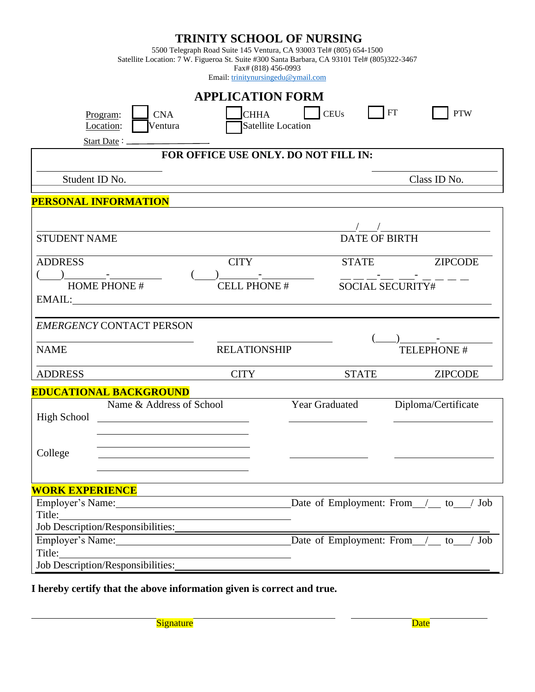|                                                                 | Fax# (818) 456-0993<br>Email: trinitynursingedu@ymail.com                                 | <b>TRINITY SCHOOL OF NURSING</b><br>5500 Telegraph Road Suite 145 Ventura, CA 93003 Tel# (805) 654-1500<br>Satellite Location: 7 W. Figueroa St. Suite #300 Santa Barbara, CA 93101 Tel# (805)322-3467 |                                          |  |
|-----------------------------------------------------------------|-------------------------------------------------------------------------------------------|--------------------------------------------------------------------------------------------------------------------------------------------------------------------------------------------------------|------------------------------------------|--|
| <b>APPLICATION FORM</b>                                         |                                                                                           |                                                                                                                                                                                                        |                                          |  |
| <b>CNA</b><br>Program:<br>Location:<br>Ventura<br>Start Date: _ | <b>CHHA</b>                                                                               | <b>CEUs</b><br><b>Satellite Location</b>                                                                                                                                                               | <b>FT</b><br><b>PTW</b>                  |  |
| FOR OFFICE USE ONLY. DO NOT FILL IN:                            |                                                                                           |                                                                                                                                                                                                        |                                          |  |
| Student ID No.                                                  |                                                                                           |                                                                                                                                                                                                        | Class ID No.                             |  |
| <b>PERSONAL INFORMATION</b>                                     |                                                                                           |                                                                                                                                                                                                        |                                          |  |
|                                                                 |                                                                                           |                                                                                                                                                                                                        |                                          |  |
| <b>STUDENT NAME</b>                                             |                                                                                           | <b>DATE OF BIRTH</b>                                                                                                                                                                                   |                                          |  |
| <b>ADDRESS</b>                                                  | <b>CITY</b>                                                                               | <b>STATE</b>                                                                                                                                                                                           | <b>ZIPCODE</b>                           |  |
| <b>HOME PHONE #</b><br>EMAIL:                                   | <b>CELL PHONE#</b><br><b>SOCIAL SECURITY#</b>                                             |                                                                                                                                                                                                        |                                          |  |
| <b>EMERGENCY CONTACT PERSON</b>                                 |                                                                                           |                                                                                                                                                                                                        |                                          |  |
| <b>NAME</b>                                                     | <b>RELATIONSHIP</b>                                                                       |                                                                                                                                                                                                        | TELEPHONE #                              |  |
| <b>ADDRESS</b>                                                  | <b>CITY</b>                                                                               | <b>STATE</b>                                                                                                                                                                                           | <b>ZIPCODE</b>                           |  |
| <b>EDUCATIONAL BACKGROUND</b>                                   |                                                                                           |                                                                                                                                                                                                        |                                          |  |
| Name & Address of School<br>High School<br>College              |                                                                                           | Year Graduated                                                                                                                                                                                         | Diploma/Certificate                      |  |
|                                                                 |                                                                                           |                                                                                                                                                                                                        |                                          |  |
| <b>WORK EXPERIENCE</b>                                          |                                                                                           |                                                                                                                                                                                                        |                                          |  |
| Employer's Name: 1988<br>Title:                                 |                                                                                           |                                                                                                                                                                                                        | Date of Employment: From / to<br>Job     |  |
| Job Description/Responsibilities:                               |                                                                                           |                                                                                                                                                                                                        |                                          |  |
| Employer's Name: 1988<br>Title:                                 |                                                                                           |                                                                                                                                                                                                        | Date of Employment: From / to<br>$/$ Job |  |
| Job Description/Responsibilities:                               | the control of the control of the control of the control of the control of the control of |                                                                                                                                                                                                        |                                          |  |

**I hereby certify that the above information given is correct and true.**

Signature Date Date